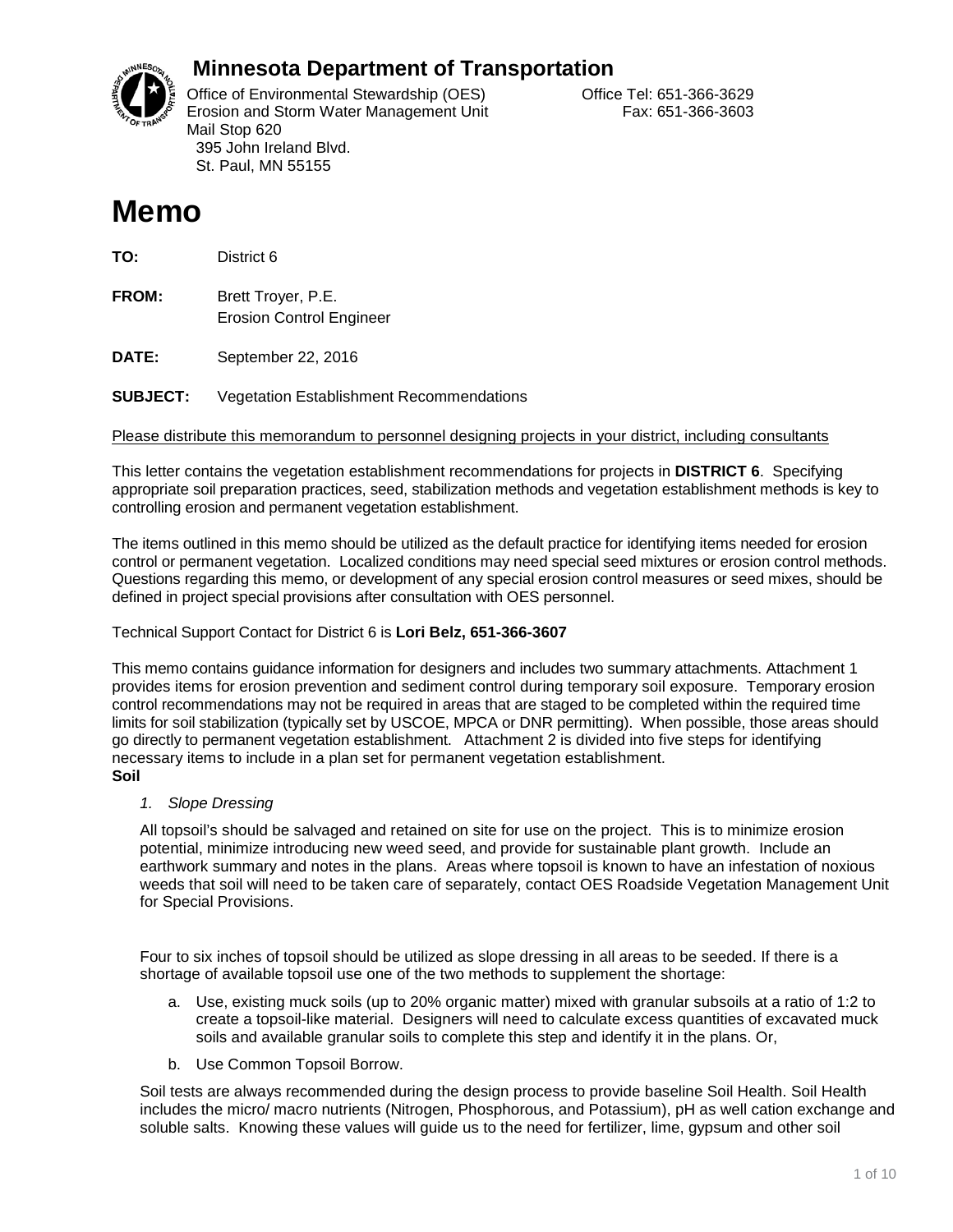

## **Minnesota Department of Transportation**

Office of Environmental Stewardship (OES) Correct Correct Correct Correct Correct Office Tel: 651-366-3629 Erosion and Storm Water Management Unit Fax: 651-366-3603 Mail Stop 620 395 John Ireland Blvd. St. Paul, MN 55155

# **Memo**

**TO:** District 6

**FROM:** Brett Troyer, P.E. Erosion Control Engineer

**DATE:** September 22, 2016

**SUBJECT:** Vegetation Establishment Recommendations

Please distribute this memorandum to personnel designing projects in your district, including consultants

This letter contains the vegetation establishment recommendations for projects in **DISTRICT 6**. Specifying appropriate soil preparation practices, seed, stabilization methods and vegetation establishment methods is key to controlling erosion and permanent vegetation establishment.

The items outlined in this memo should be utilized as the default practice for identifying items needed for erosion control or permanent vegetation. Localized conditions may need special seed mixtures or erosion control methods. Questions regarding this memo, or development of any special erosion control measures or seed mixes, should be defined in project special provisions after consultation with OES personnel.

#### Technical Support Contact for District 6 is **Lori Belz, 651-366-3607**

This memo contains guidance information for designers and includes two summary attachments. Attachment 1 provides items for erosion prevention and sediment control during temporary soil exposure. Temporary erosion control recommendations may not be required in areas that are staged to be completed within the required time limits for soil stabilization (typically set by USCOE, MPCA or DNR permitting). When possible, those areas should go directly to permanent vegetation establishment. Attachment 2 is divided into five steps for identifying necessary items to include in a plan set for permanent vegetation establishment. **Soil**

*1. Slope Dressing*

All topsoil's should be salvaged and retained on site for use on the project. This is to minimize erosion potential, minimize introducing new weed seed, and provide for sustainable plant growth. Include an earthwork summary and notes in the plans. Areas where topsoil is known to have an infestation of noxious weeds that soil will need to be taken care of separately, contact OES Roadside Vegetation Management Unit for Special Provisions.

Four to six inches of topsoil should be utilized as slope dressing in all areas to be seeded. If there is a shortage of available topsoil use one of the two methods to supplement the shortage:

- a. Use, existing muck soils (up to 20% organic matter) mixed with granular subsoils at a ratio of 1:2 to create a topsoil-like material. Designers will need to calculate excess quantities of excavated muck soils and available granular soils to complete this step and identify it in the plans. Or,
- b. Use Common Topsoil Borrow.

Soil tests are always recommended during the design process to provide baseline Soil Health. Soil Health includes the micro/ macro nutrients (Nitrogen, Phosphorous, and Potassium), pH as well cation exchange and soluble salts. Knowing these values will guide us to the need for fertilizer, lime, gypsum and other soil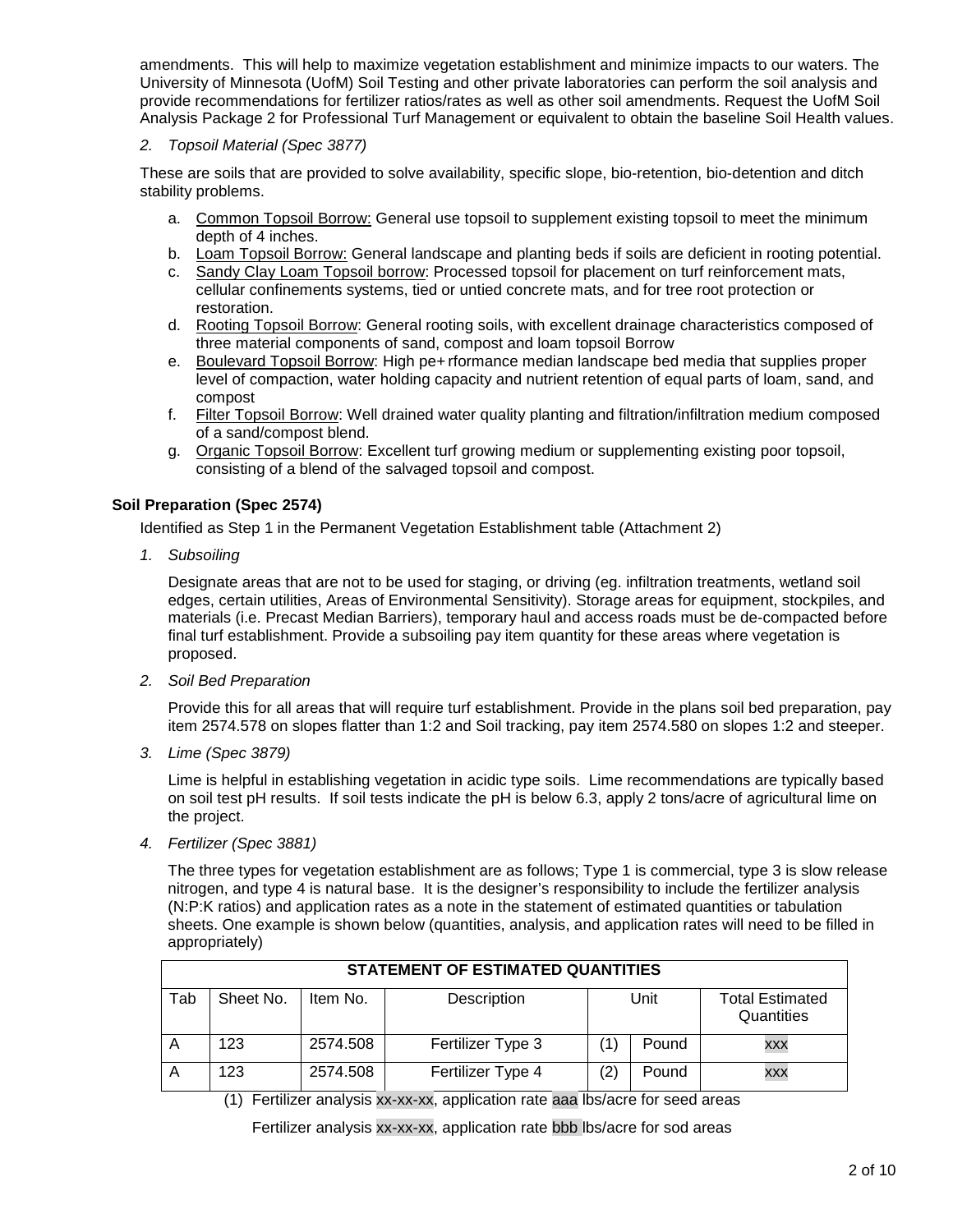amendments. This will help to maximize vegetation establishment and minimize impacts to our waters. The University of Minnesota (UofM) Soil Testing and other private laboratories can perform the soil analysis and provide recommendations for fertilizer ratios/rates as well as other soil amendments. Request the UofM Soil Analysis Package 2 for Professional Turf Management or equivalent to obtain the baseline Soil Health values.

#### *2. Topsoil Material (Spec 3877)*

These are soils that are provided to solve availability, specific slope, bio-retention, bio-detention and ditch stability problems.

- a. Common Topsoil Borrow: General use topsoil to supplement existing topsoil to meet the minimum depth of 4 inches.
- b. Loam Topsoil Borrow: General landscape and planting beds if soils are deficient in rooting potential.
- c. Sandy Clay Loam Topsoil borrow: Processed topsoil for placement on turf reinforcement mats, cellular confinements systems, tied or untied concrete mats, and for tree root protection or restoration.
- d. Rooting Topsoil Borrow: General rooting soils, with excellent drainage characteristics composed of three material components of sand, compost and loam topsoil Borrow
- e. Boulevard Topsoil Borrow: High pe+ rformance median landscape bed media that supplies proper level of compaction, water holding capacity and nutrient retention of equal parts of loam, sand, and compost
- f. Filter Topsoil Borrow: Well drained water quality planting and filtration/infiltration medium composed of a sand/compost blend.
- g. Organic Topsoil Borrow: Excellent turf growing medium or supplementing existing poor topsoil, consisting of a blend of the salvaged topsoil and compost.

#### **Soil Preparation (Spec 2574)**

Identified as Step 1 in the Permanent Vegetation Establishment table (Attachment 2)

*1. Subsoiling*

Designate areas that are not to be used for staging, or driving (eg. infiltration treatments, wetland soil edges, certain utilities, Areas of Environmental Sensitivity). Storage areas for equipment, stockpiles, and materials (i.e. Precast Median Barriers), temporary haul and access roads must be de-compacted before final turf establishment. Provide a subsoiling pay item quantity for these areas where vegetation is proposed.

*2. Soil Bed Preparation*

Provide this for all areas that will require turf establishment. Provide in the plans soil bed preparation, pay item 2574.578 on slopes flatter than 1:2 and Soil tracking, pay item 2574.580 on slopes 1:2 and steeper.

*3. Lime (Spec 3879)* 

Lime is helpful in establishing vegetation in acidic type soils. Lime recommendations are typically based on soil test pH results. If soil tests indicate the pH is below 6.3, apply 2 tons/acre of agricultural lime on the project.

*4. Fertilizer (Spec 3881)*

The three types for vegetation establishment are as follows; Type 1 is commercial, type 3 is slow release nitrogen, and type 4 is natural base. It is the designer's responsibility to include the fertilizer analysis (N:P:K ratios) and application rates as a note in the statement of estimated quantities or tabulation sheets. One example is shown below (quantities, analysis, and application rates will need to be filled in appropriately)

|     | <b>STATEMENT OF ESTIMATED QUANTITIES</b> |          |                   |     |       |                                      |  |
|-----|------------------------------------------|----------|-------------------|-----|-------|--------------------------------------|--|
| Tab | Sheet No.                                | Item No. | Description       |     | Unit  | <b>Total Estimated</b><br>Quantities |  |
| A   | 123                                      | 2574.508 | Fertilizer Type 3 |     | Pound | <b>XXX</b>                           |  |
| A   | 123                                      | 2574.508 | Fertilizer Type 4 | (2) | Pound | XXX                                  |  |

(1) Fertilizer analysis xx-xx-xx, application rate aaa lbs/acre for seed areas

Fertilizer analysis xx-xx-xx, application rate bbb lbs/acre for sod areas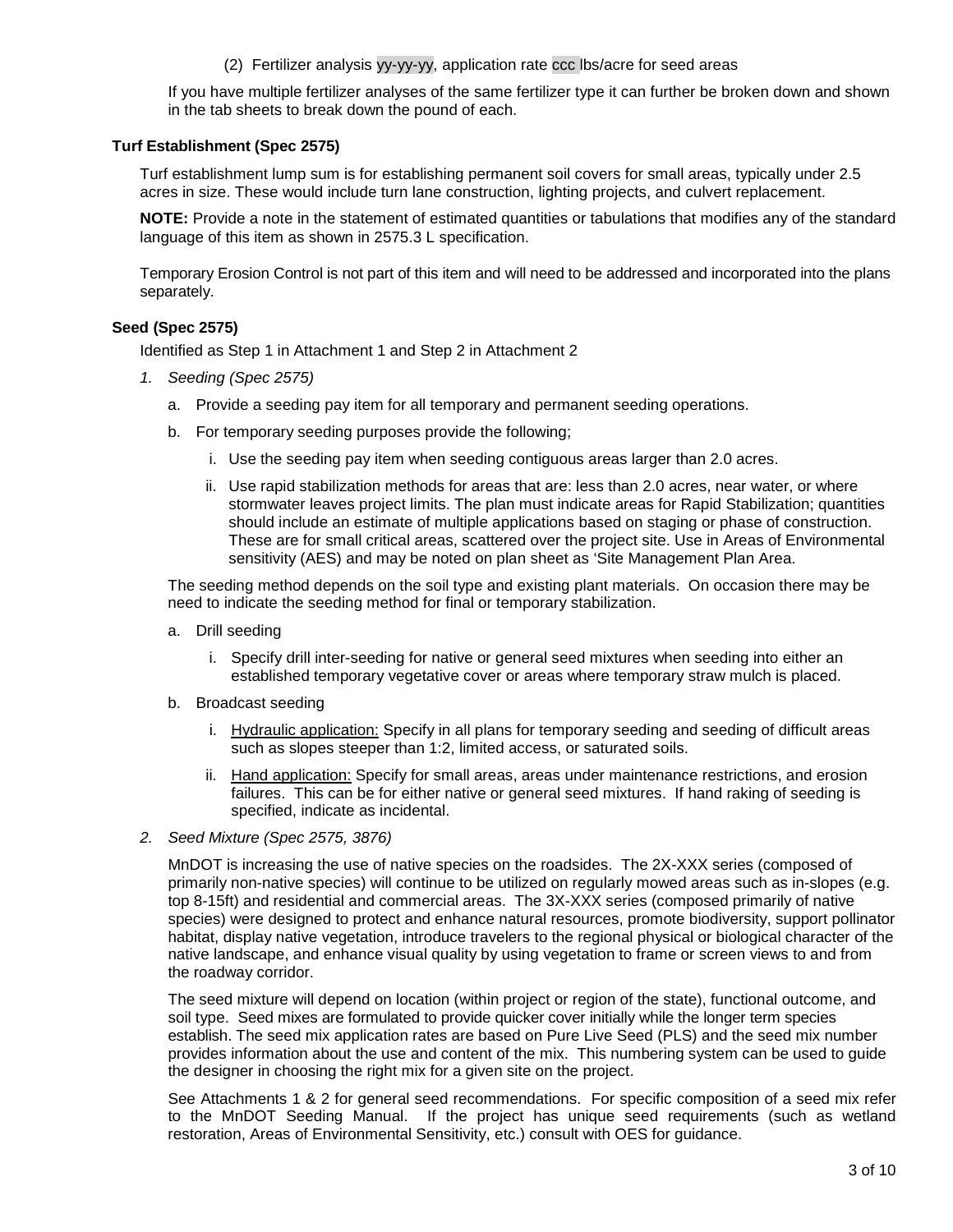(2) Fertilizer analysis yy-yy-yy, application rate ccc lbs/acre for seed areas

If you have multiple fertilizer analyses of the same fertilizer type it can further be broken down and shown in the tab sheets to break down the pound of each.

#### **Turf Establishment (Spec 2575)**

Turf establishment lump sum is for establishing permanent soil covers for small areas, typically under 2.5 acres in size. These would include turn lane construction, lighting projects, and culvert replacement.

**NOTE:** Provide a note in the statement of estimated quantities or tabulations that modifies any of the standard language of this item as shown in 2575.3 L specification.

Temporary Erosion Control is not part of this item and will need to be addressed and incorporated into the plans separately.

#### **Seed (Spec 2575)**

Identified as Step 1 in Attachment 1 and Step 2 in Attachment 2

- *1. Seeding (Spec 2575)*
	- a. Provide a seeding pay item for all temporary and permanent seeding operations.
	- b. For temporary seeding purposes provide the following;
		- i. Use the seeding pay item when seeding contiguous areas larger than 2.0 acres.
		- ii. Use rapid stabilization methods for areas that are: less than 2.0 acres, near water, or where stormwater leaves project limits. The plan must indicate areas for Rapid Stabilization; quantities should include an estimate of multiple applications based on staging or phase of construction. These are for small critical areas, scattered over the project site. Use in Areas of Environmental sensitivity (AES) and may be noted on plan sheet as 'Site Management Plan Area.

The seeding method depends on the soil type and existing plant materials. On occasion there may be need to indicate the seeding method for final or temporary stabilization.

- a. Drill seeding
	- i. Specify drill inter-seeding for native or general seed mixtures when seeding into either an established temporary vegetative cover or areas where temporary straw mulch is placed.
- b. Broadcast seeding
	- i. Hydraulic application: Specify in all plans for temporary seeding and seeding of difficult areas such as slopes steeper than 1:2, limited access, or saturated soils.
	- ii. Hand application: Specify for small areas, areas under maintenance restrictions, and erosion failures. This can be for either native or general seed mixtures. If hand raking of seeding is specified, indicate as incidental.
- *2. Seed Mixture (Spec 2575, 3876)*

MnDOT is increasing the use of native species on the roadsides. The 2X-XXX series (composed of primarily non-native species) will continue to be utilized on regularly mowed areas such as in-slopes (e.g. top 8-15ft) and residential and commercial areas. The 3X-XXX series (composed primarily of native species) were designed to protect and enhance natural resources, promote biodiversity, support pollinator habitat, display native vegetation, introduce travelers to the regional physical or biological character of the native landscape, and enhance visual quality by using vegetation to frame or screen views to and from the roadway corridor.

The seed mixture will depend on location (within project or region of the state), functional outcome, and soil type. Seed mixes are formulated to provide quicker cover initially while the longer term species establish. The seed mix application rates are based on Pure Live Seed (PLS) and the seed mix number provides information about the use and content of the mix. This numbering system can be used to guide the designer in choosing the right mix for a given site on the project.

See Attachments 1 & 2 for general seed recommendations. For specific composition of a seed mix refer to the MnDOT Seeding Manual. If the project has unique seed requirements (such as wetland restoration, Areas of Environmental Sensitivity, etc.) consult with OES for guidance.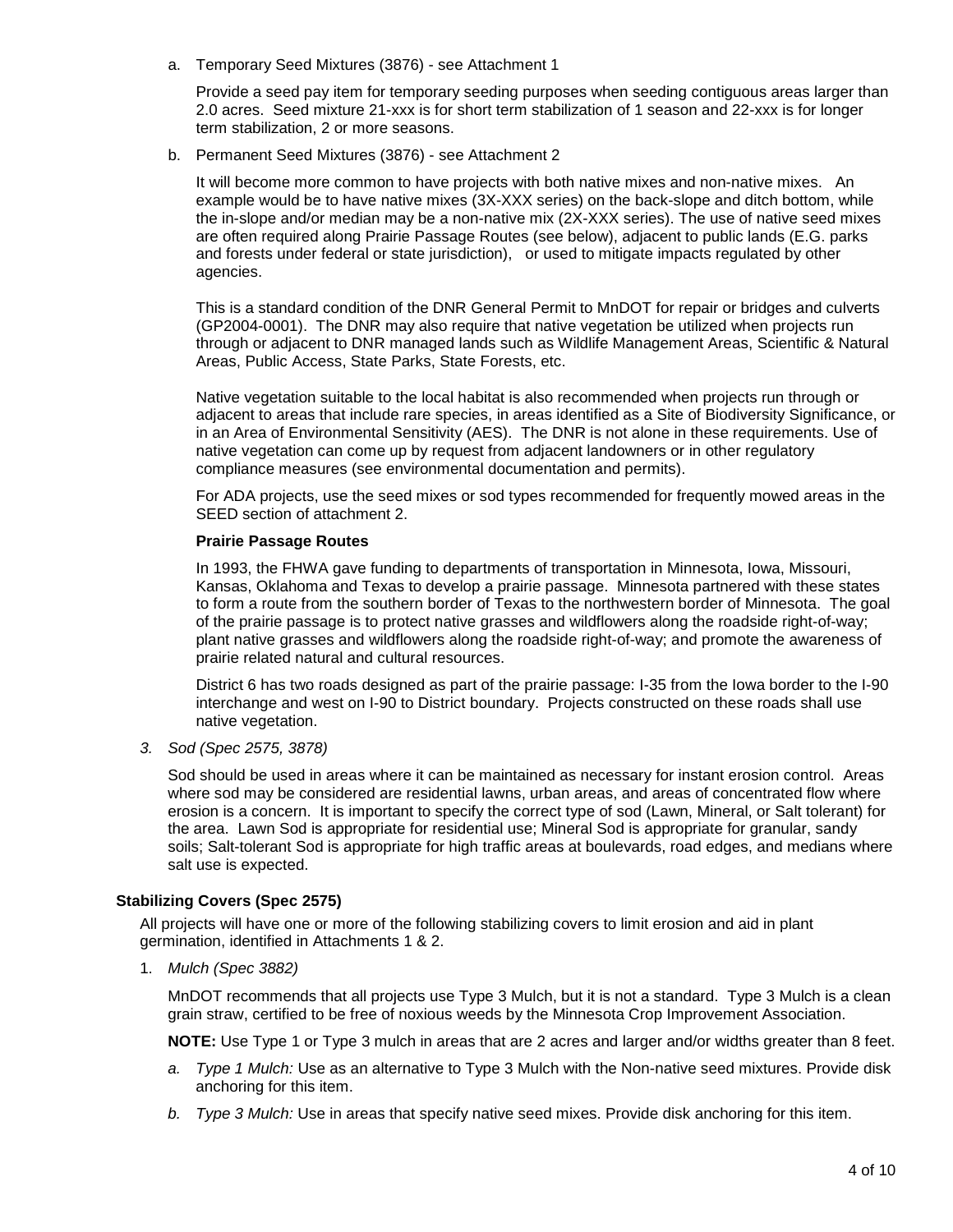a. Temporary Seed Mixtures (3876) - see Attachment 1

Provide a seed pay item for temporary seeding purposes when seeding contiguous areas larger than 2.0 acres. Seed mixture 21-xxx is for short term stabilization of 1 season and 22-xxx is for longer term stabilization, 2 or more seasons.

b. Permanent Seed Mixtures (3876) - see Attachment 2

It will become more common to have projects with both native mixes and non-native mixes. An example would be to have native mixes (3X-XXX series) on the back-slope and ditch bottom, while the in-slope and/or median may be a non-native mix (2X-XXX series). The use of native seed mixes are often required along Prairie Passage Routes (see below), adjacent to public lands (E.G. parks and forests under federal or state jurisdiction), or used to mitigate impacts regulated by other agencies.

This is a standard condition of the DNR General Permit to MnDOT for repair or bridges and culverts (GP2004-0001). The DNR may also require that native vegetation be utilized when projects run through or adjacent to DNR managed lands such as Wildlife Management Areas, Scientific & Natural Areas, Public Access, State Parks, State Forests, etc.

Native vegetation suitable to the local habitat is also recommended when projects run through or adjacent to areas that include rare species, in areas identified as a Site of Biodiversity Significance, or in an Area of Environmental Sensitivity (AES). The DNR is not alone in these requirements. Use of native vegetation can come up by request from adjacent landowners or in other regulatory compliance measures (see environmental documentation and permits).

For ADA projects, use the seed mixes or sod types recommended for frequently mowed areas in the SEED section of attachment 2.

#### **Prairie Passage Routes**

In 1993, the FHWA gave funding to departments of transportation in Minnesota, Iowa, Missouri, Kansas, Oklahoma and Texas to develop a prairie passage. Minnesota partnered with these states to form a route from the southern border of Texas to the northwestern border of Minnesota. The goal of the prairie passage is to protect native grasses and wildflowers along the roadside right-of-way; plant native grasses and wildflowers along the roadside right-of-way; and promote the awareness of prairie related natural and cultural resources.

District 6 has two roads designed as part of the prairie passage: I-35 from the Iowa border to the I-90 interchange and west on I-90 to District boundary. Projects constructed on these roads shall use native vegetation.

*3. Sod (Spec 2575, 3878)*

Sod should be used in areas where it can be maintained as necessary for instant erosion control. Areas where sod may be considered are residential lawns, urban areas, and areas of concentrated flow where erosion is a concern. It is important to specify the correct type of sod (Lawn, Mineral, or Salt tolerant) for the area. Lawn Sod is appropriate for residential use; Mineral Sod is appropriate for granular, sandy soils; Salt-tolerant Sod is appropriate for high traffic areas at boulevards, road edges, and medians where salt use is expected.

#### **Stabilizing Covers (Spec 2575)**

All projects will have one or more of the following stabilizing covers to limit erosion and aid in plant germination, identified in Attachments 1 & 2.

1. *Mulch (Spec 3882)* 

MnDOT recommends that all projects use Type 3 Mulch, but it is not a standard. Type 3 Mulch is a clean grain straw, certified to be free of noxious weeds by the Minnesota Crop Improvement Association.

**NOTE:** Use Type 1 or Type 3 mulch in areas that are 2 acres and larger and/or widths greater than 8 feet.

- *a. Type 1 Mulch:* Use as an alternative to Type 3 Mulch with the Non-native seed mixtures. Provide disk anchoring for this item.
- *b. Type 3 Mulch:* Use in areas that specify native seed mixes. Provide disk anchoring for this item.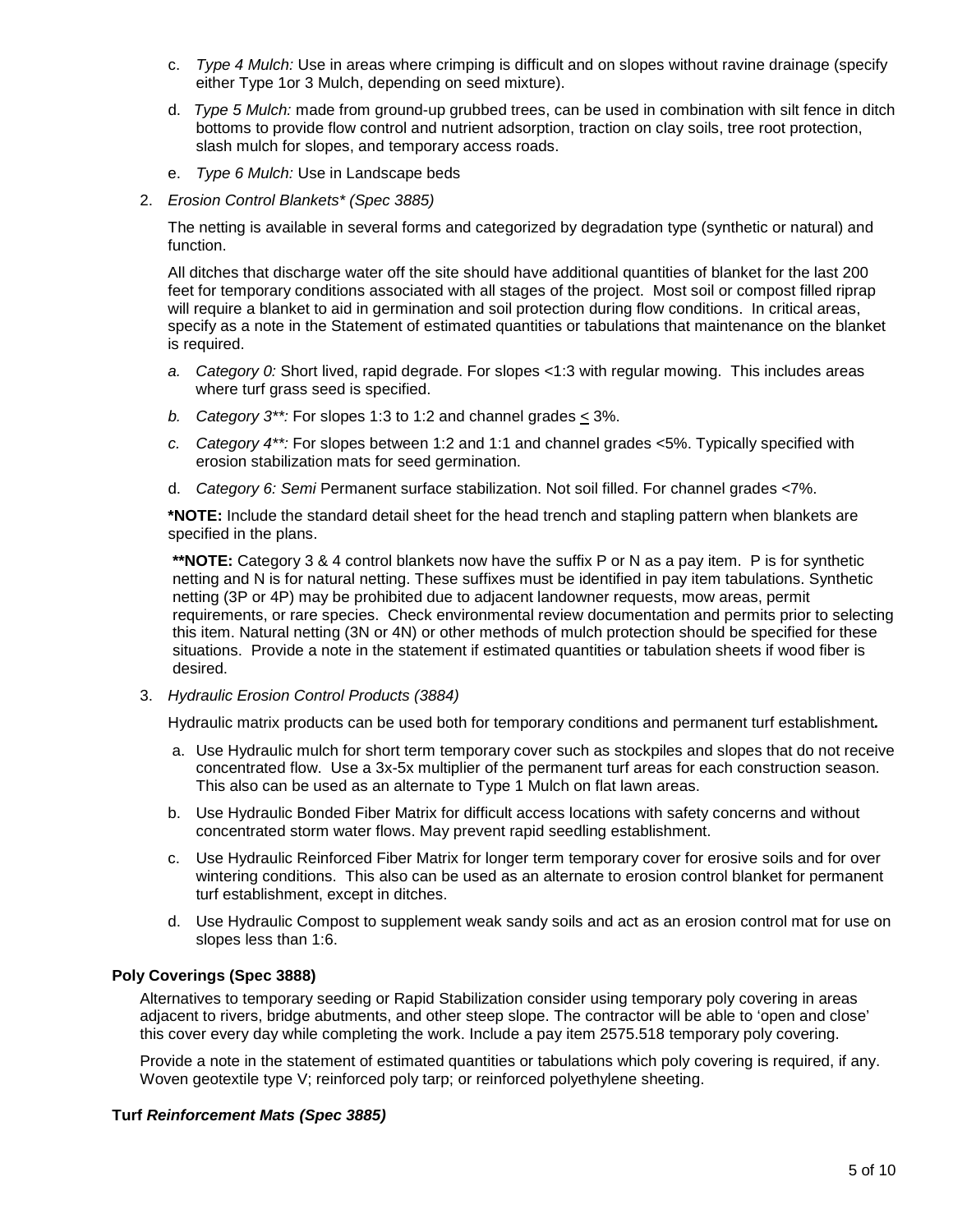- c. *Type 4 Mulch:* Use in areas where crimping is difficult and on slopes without ravine drainage (specify either Type 1or 3 Mulch, depending on seed mixture).
- d. *Type 5 Mulch:* made from ground-up grubbed trees, can be used in combination with silt fence in ditch bottoms to provide flow control and nutrient adsorption, traction on clay soils, tree root protection, slash mulch for slopes, and temporary access roads.
- e. *Type 6 Mulch:* Use in Landscape beds
- 2. *Erosion Control Blankets\* (Spec 3885)*

The netting is available in several forms and categorized by degradation type (synthetic or natural) and function.

All ditches that discharge water off the site should have additional quantities of blanket for the last 200 feet for temporary conditions associated with all stages of the project. Most soil or compost filled riprap will require a blanket to aid in germination and soil protection during flow conditions. In critical areas, specify as a note in the Statement of estimated quantities or tabulations that maintenance on the blanket is required.

- *a. Category 0:* Short lived, rapid degrade. For slopes <1:3 with regular mowing. This includes areas where turf grass seed is specified.
- *b. Category 3\*\*:* For slopes 1:3 to 1:2 and channel grades < 3%.
- *c. Category 4\*\*:* For slopes between 1:2 and 1:1 and channel grades <5%. Typically specified with erosion stabilization mats for seed germination.
- d. *Category 6: Semi* Permanent surface stabilization. Not soil filled. For channel grades <7%.

**\*NOTE:** Include the standard detail sheet for the head trench and stapling pattern when blankets are specified in the plans.

**\*\*NOTE:** Category 3 & 4 control blankets now have the suffix P or N as a pay item. P is for synthetic netting and N is for natural netting. These suffixes must be identified in pay item tabulations. Synthetic netting (3P or 4P) may be prohibited due to adjacent landowner requests, mow areas, permit requirements, or rare species. Check environmental review documentation and permits prior to selecting this item. Natural netting (3N or 4N) or other methods of mulch protection should be specified for these situations. Provide a note in the statement if estimated quantities or tabulation sheets if wood fiber is desired.

3. *Hydraulic Erosion Control Products (3884)*

Hydraulic matrix products can be used both for temporary conditions and permanent turf establishment*.* 

- a. Use Hydraulic mulch for short term temporary cover such as stockpiles and slopes that do not receive concentrated flow. Use a 3x-5x multiplier of the permanent turf areas for each construction season. This also can be used as an alternate to Type 1 Mulch on flat lawn areas.
- b. Use Hydraulic Bonded Fiber Matrix for difficult access locations with safety concerns and without concentrated storm water flows. May prevent rapid seedling establishment.
- c. Use Hydraulic Reinforced Fiber Matrix for longer term temporary cover for erosive soils and for over wintering conditions. This also can be used as an alternate to erosion control blanket for permanent turf establishment, except in ditches.
- d. Use Hydraulic Compost to supplement weak sandy soils and act as an erosion control mat for use on slopes less than 1:6.

#### **Poly Coverings (Spec 3888)**

Alternatives to temporary seeding or Rapid Stabilization consider using temporary poly covering in areas adjacent to rivers, bridge abutments, and other steep slope. The contractor will be able to 'open and close' this cover every day while completing the work. Include a pay item 2575.518 temporary poly covering.

Provide a note in the statement of estimated quantities or tabulations which poly covering is required, if any. Woven geotextile type V; reinforced poly tarp; or reinforced polyethylene sheeting.

#### **Turf** *Reinforcement Mats (Spec 3885)*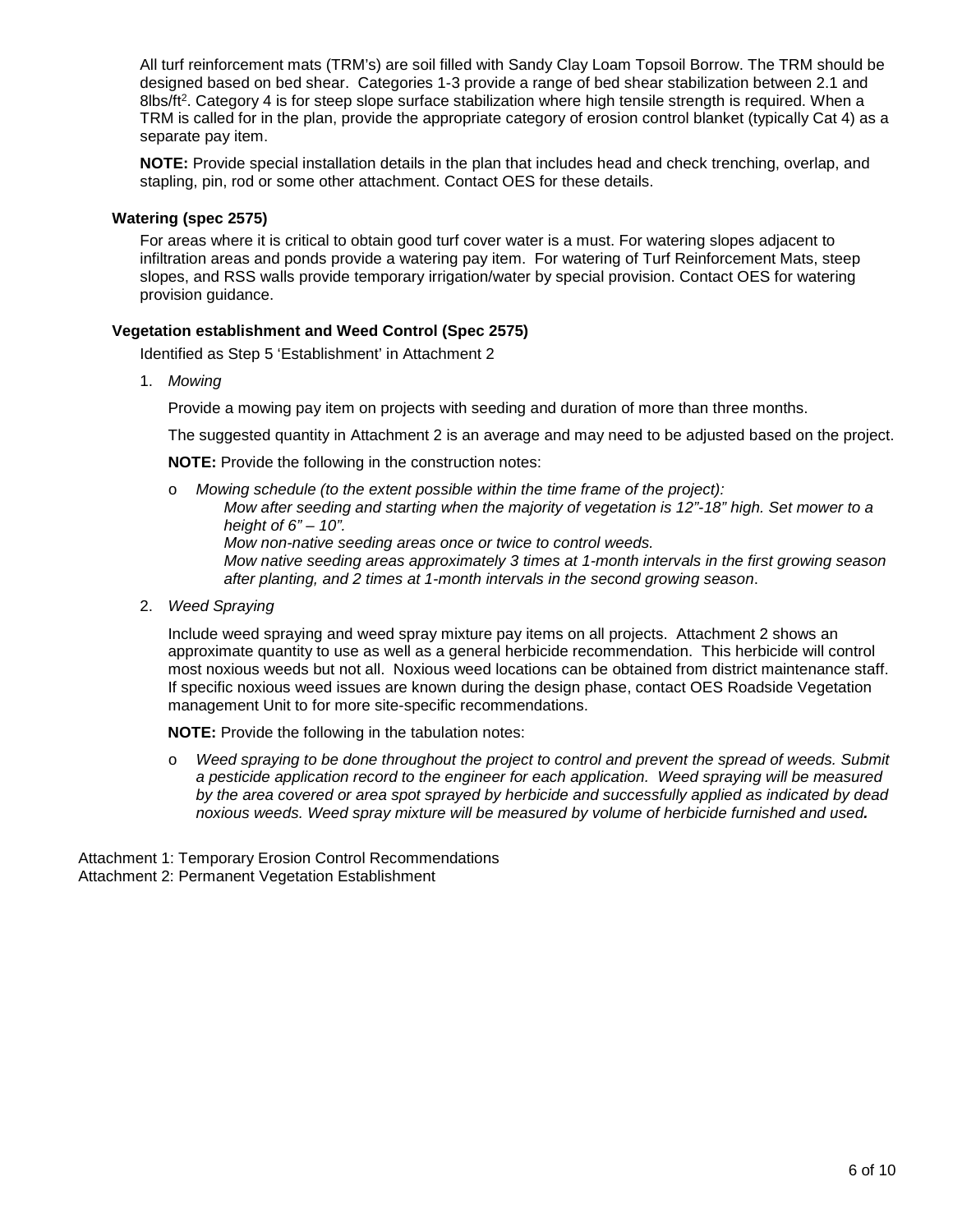All turf reinforcement mats (TRM's) are soil filled with Sandy Clay Loam Topsoil Borrow. The TRM should be designed based on bed shear. Categories 1-3 provide a range of bed shear stabilization between 2.1 and 8lbs/ft<sup>2</sup>. Category 4 is for steep slope surface stabilization where high tensile strength is required. When a TRM is called for in the plan, provide the appropriate category of erosion control blanket (typically Cat 4) as a separate pay item.

**NOTE:** Provide special installation details in the plan that includes head and check trenching, overlap, and stapling, pin, rod or some other attachment. Contact OES for these details.

#### **Watering (spec 2575)**

For areas where it is critical to obtain good turf cover water is a must. For watering slopes adjacent to infiltration areas and ponds provide a watering pay item. For watering of Turf Reinforcement Mats, steep slopes, and RSS walls provide temporary irrigation/water by special provision. Contact OES for watering provision guidance.

#### **Vegetation establishment and Weed Control (Spec 2575)**

Identified as Step 5 'Establishment' in Attachment 2

1. *Mowing*

Provide a mowing pay item on projects with seeding and duration of more than three months.

The suggested quantity in Attachment 2 is an average and may need to be adjusted based on the project.

**NOTE:** Provide the following in the construction notes:

- o *Mowing schedule (to the extent possible within the time frame of the project): Mow after seeding and starting when the majority of vegetation is 12"-18" high. Set mower to a height of 6" – 10". Mow non-native seeding areas once or twice to control weeds. Mow native seeding areas approximately 3 times at 1-month intervals in the first growing season after planting, and 2 times at 1-month intervals in the second growing season*.
- 2. *Weed Spraying*

Include weed spraying and weed spray mixture pay items on all projects. Attachment 2 shows an approximate quantity to use as well as a general herbicide recommendation. This herbicide will control most noxious weeds but not all. Noxious weed locations can be obtained from district maintenance staff. If specific noxious weed issues are known during the design phase, contact OES Roadside Vegetation management Unit to for more site-specific recommendations.

**NOTE:** Provide the following in the tabulation notes:

o *Weed spraying to be done throughout the project to control and prevent the spread of weeds. Submit a pesticide application record to the engineer for each application. Weed spraying will be measured by the area covered or area spot sprayed by herbicide and successfully applied as indicated by dead noxious weeds. Weed spray mixture will be measured by volume of herbicide furnished and used.* 

Attachment 1: Temporary Erosion Control Recommendations Attachment 2: Permanent Vegetation Establishment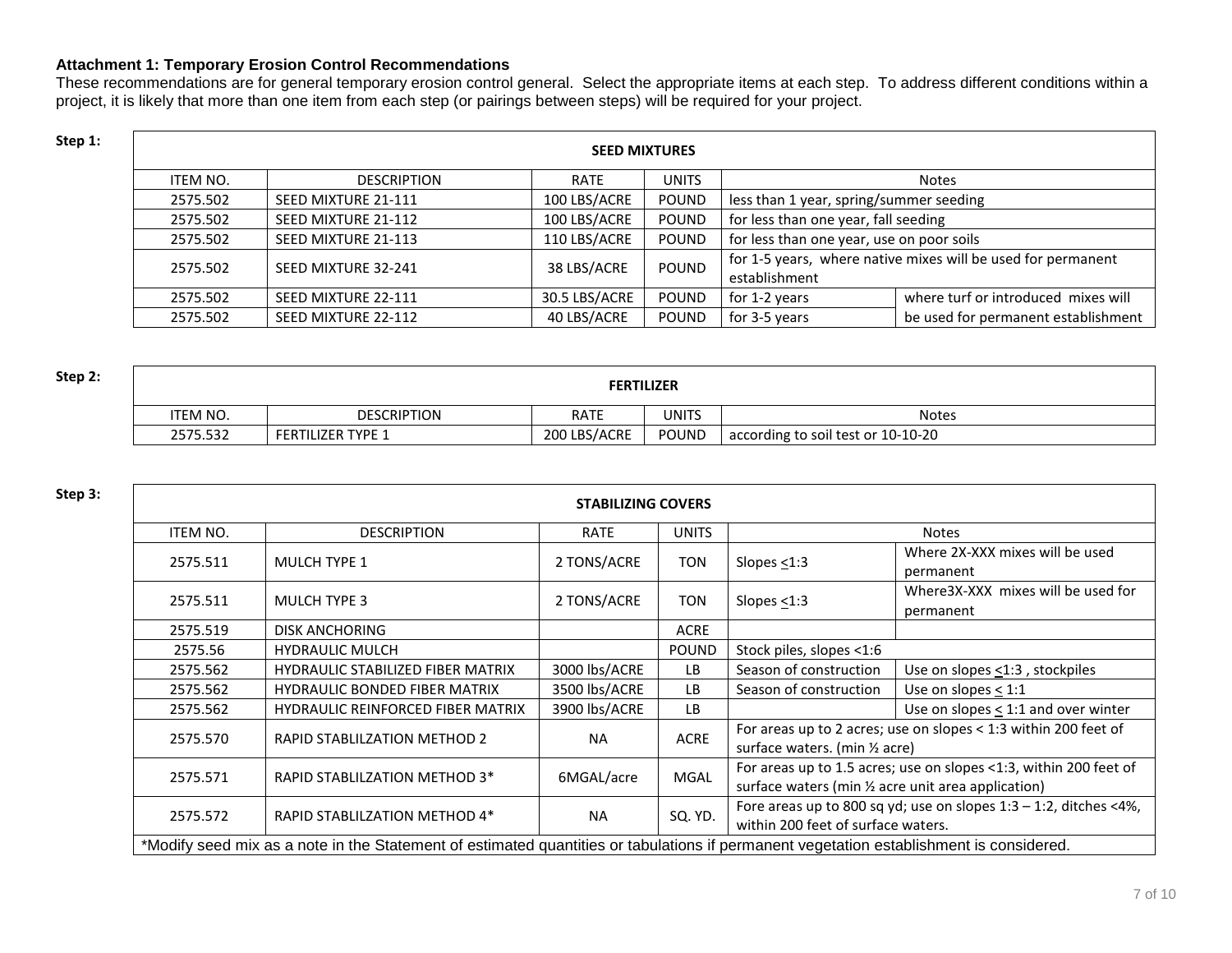### **Attachment 1: Temporary Erosion Control Recommendations**

These recommendations are for general temporary erosion control general. Select the appropriate items at each step. To address different conditions within a project, it is likely that more than one item from each step (or pairings between steps) will be required for your project.

| Step 1: | <b>SEED MIXTURES</b> |                     |               |              |                                           |                                                              |  |
|---------|----------------------|---------------------|---------------|--------------|-------------------------------------------|--------------------------------------------------------------|--|
|         | ITEM NO.             | <b>DESCRIPTION</b>  | <b>RATE</b>   | <b>UNITS</b> |                                           | <b>Notes</b>                                                 |  |
|         | 2575.502             | SEED MIXTURE 21-111 | 100 LBS/ACRE  | POUND        | less than 1 year, spring/summer seeding   |                                                              |  |
|         | 2575.502             | SEED MIXTURE 21-112 | 100 LBS/ACRE  | <b>POUND</b> | for less than one year, fall seeding      |                                                              |  |
|         | 2575.502             | SEED MIXTURE 21-113 | 110 LBS/ACRE  | <b>POUND</b> | for less than one year, use on poor soils |                                                              |  |
|         | 2575.502             | SEED MIXTURE 32-241 | 38 LBS/ACRE   | <b>POUND</b> |                                           | for 1-5 years, where native mixes will be used for permanent |  |
|         |                      |                     |               |              | establishment                             |                                                              |  |
|         | 2575.502             | SEED MIXTURE 22-111 | 30.5 LBS/ACRE | <b>POUND</b> | for 1-2 years                             | where turf or introduced mixes will                          |  |
|         | 2575.502             | SEED MIXTURE 22-112 | 40 LBS/ACRE   | POUND        | for 3-5 years                             | be used for permanent establishment                          |  |

| Step 2: |          |                          | <b>FERTILIZER</b> |       |                                    |
|---------|----------|--------------------------|-------------------|-------|------------------------------------|
|         | 'TEM NO. | <b>DESCRIPTION</b>       | <b>RATE</b>       | UNITS | <b>Notes</b>                       |
|         | 2575.532 | <b>FERTILIZER TYPE 1</b> | 200 LBS/ACRE      | POUND | according to soil test or 10-10-20 |

|          |                                          | <b>STABILIZING COVERS</b> |              |                                                     |                                                                      |
|----------|------------------------------------------|---------------------------|--------------|-----------------------------------------------------|----------------------------------------------------------------------|
| ITEM NO. | <b>DESCRIPTION</b>                       | <b>RATE</b>               | <b>UNITS</b> |                                                     | <b>Notes</b>                                                         |
| 2575.511 | MULCH TYPE 1                             | 2 TONS/ACRE               | <b>TON</b>   | Slopes $<$ 1:3                                      | Where 2X-XXX mixes will be used<br>permanent                         |
| 2575.511 | <b>MULCH TYPE 3</b>                      | 2 TONS/ACRE               | <b>TON</b>   | Slopes $<$ 1:3                                      | Where 3X-XXX mixes will be used for<br>permanent                     |
| 2575.519 | <b>DISK ANCHORING</b>                    |                           | <b>ACRE</b>  |                                                     |                                                                      |
| 2575.56  | <b>HYDRAULIC MULCH</b>                   |                           | <b>POUND</b> | Stock piles, slopes <1:6                            |                                                                      |
| 2575.562 | <b>HYDRAULIC STABILIZED FIBER MATRIX</b> | 3000 lbs/ACRE             | <b>LB</b>    | Season of construction                              | Use on slopes <1:3, stockpiles                                       |
| 2575.562 | <b>HYDRAULIC BONDED FIBER MATRIX</b>     | 3500 lbs/ACRE             | ΙB.          | Season of construction                              | Use on slopes $<$ 1:1                                                |
| 2575.562 | <b>HYDRAULIC REINFORCED FIBER MATRIX</b> | 3900 lbs/ACRE             | LB.          |                                                     | Use on slopes $\leq$ 1:1 and over winter                             |
| 2575.570 | RAPID STABLILZATION METHOD 2             | <b>NA</b>                 | <b>ACRE</b>  | surface waters. (min 1/2 acre)                      | For areas up to 2 acres; use on slopes < 1:3 within 200 feet of      |
| 2575.571 | RAPID STABLILZATION METHOD 3*            | 6MGAL/acre                | <b>MGAL</b>  | surface waters (min 1/2 acre unit area application) | For areas up to 1.5 acres; use on slopes <1:3, within 200 feet of    |
| 2575.572 | RAPID STABLILZATION METHOD 4*            | <b>NA</b>                 | SQ. YD.      | within 200 feet of surface waters.                  | Fore areas up to 800 sq yd; use on slopes $1:3 - 1:2$ , ditches <4%, |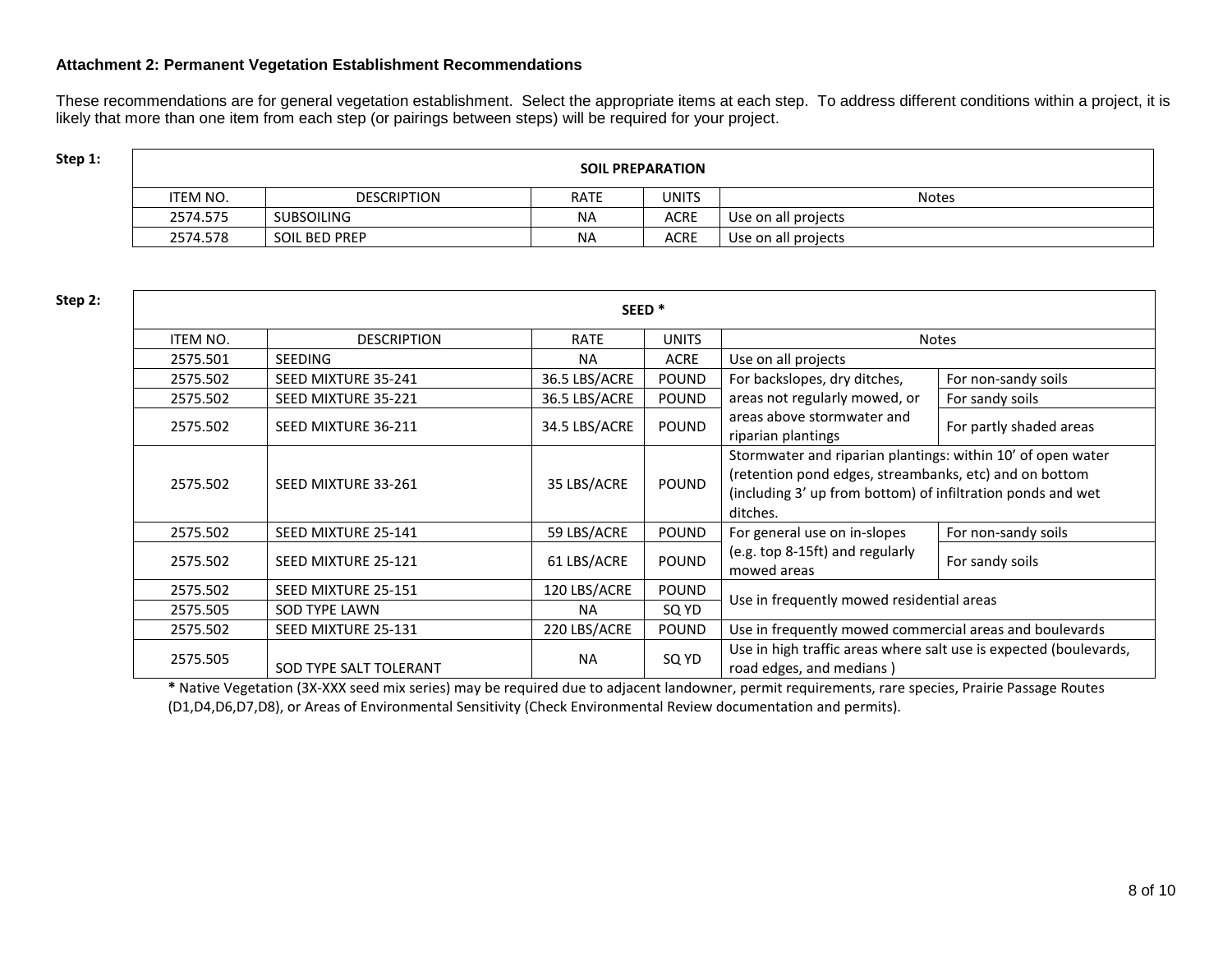#### **Attachment 2: Permanent Vegetation Establishment Recommendations**

These recommendations are for general vegetation establishment. Select the appropriate items at each step. To address different conditions within a project, it is likely that more than one item from each step (or pairings between steps) will be required for your project.

| Step 1: |          |                    |             | <b>SOIL PREPARATION</b> |                     |
|---------|----------|--------------------|-------------|-------------------------|---------------------|
|         | item no. | <b>DESCRIPTION</b> | <b>RATE</b> | UNITS                   | <b>Notes</b>        |
|         | 2574.575 | <b>SUBSOILING</b>  | ΝA          | <b>ACRE</b>             | Use on all projects |
|         | 2574.578 | SOIL BED PREP      | <b>NA</b>   | <b>ACRE</b>             | Use on all projects |

| Step 2: |                 |                        | SEED <sup>*</sup> |              |                                                                                                                                                                                                  |                         |
|---------|-----------------|------------------------|-------------------|--------------|--------------------------------------------------------------------------------------------------------------------------------------------------------------------------------------------------|-------------------------|
|         | <b>ITEM NO.</b> | <b>DESCRIPTION</b>     | RATE              | <b>UNITS</b> |                                                                                                                                                                                                  | <b>Notes</b>            |
|         | 2575.501        | <b>SEEDING</b>         | <b>NA</b>         | <b>ACRE</b>  | Use on all projects                                                                                                                                                                              |                         |
|         | 2575.502        | SEED MIXTURE 35-241    | 36.5 LBS/ACRE     | <b>POUND</b> | For backslopes, dry ditches,                                                                                                                                                                     | For non-sandy soils     |
|         | 2575.502        | SEED MIXTURE 35-221    | 36.5 LBS/ACRE     | <b>POUND</b> | areas not regularly mowed, or                                                                                                                                                                    | For sandy soils         |
|         | 2575.502        | SEED MIXTURE 36-211    | 34.5 LBS/ACRE     | <b>POUND</b> | areas above stormwater and<br>riparian plantings                                                                                                                                                 | For partly shaded areas |
|         | 2575.502        | SEED MIXTURE 33-261    | 35 LBS/ACRE       | <b>POUND</b> | Stormwater and riparian plantings: within 10' of open water<br>(retention pond edges, streambanks, etc) and on bottom<br>(including 3' up from bottom) of infiltration ponds and wet<br>ditches. |                         |
|         | 2575.502        | SEED MIXTURE 25-141    | 59 LBS/ACRE       | <b>POUND</b> | For general use on in-slopes                                                                                                                                                                     | For non-sandy soils     |
|         | 2575.502        | SEED MIXTURE 25-121    | 61 LBS/ACRE       | <b>POUND</b> | (e.g. top 8-15ft) and regularly<br>mowed areas                                                                                                                                                   | For sandy soils         |
|         | 2575.502        | SEED MIXTURE 25-151    | 120 LBS/ACRE      | <b>POUND</b> |                                                                                                                                                                                                  |                         |
|         | 2575.505        | <b>SOD TYPE LAWN</b>   | <b>NA</b>         | SQ YD        | Use in frequently mowed residential areas                                                                                                                                                        |                         |
|         | 2575.502        | SEED MIXTURE 25-131    | 220 LBS/ACRE      | <b>POUND</b> | Use in frequently mowed commercial areas and boulevards                                                                                                                                          |                         |
|         | 2575.505        | SOD TYPE SALT TOLERANT | <b>NA</b>         | SQ YD        | Use in high traffic areas where salt use is expected (boulevards,<br>road edges, and medians)                                                                                                    |                         |

**\*** Native Vegetation (3X-XXX seed mix series) may be required due to adjacent landowner, permit requirements, rare species, Prairie Passage Routes (D1,D4,D6,D7,D8), or Areas of Environmental Sensitivity (Check Environmental Review documentation and permits).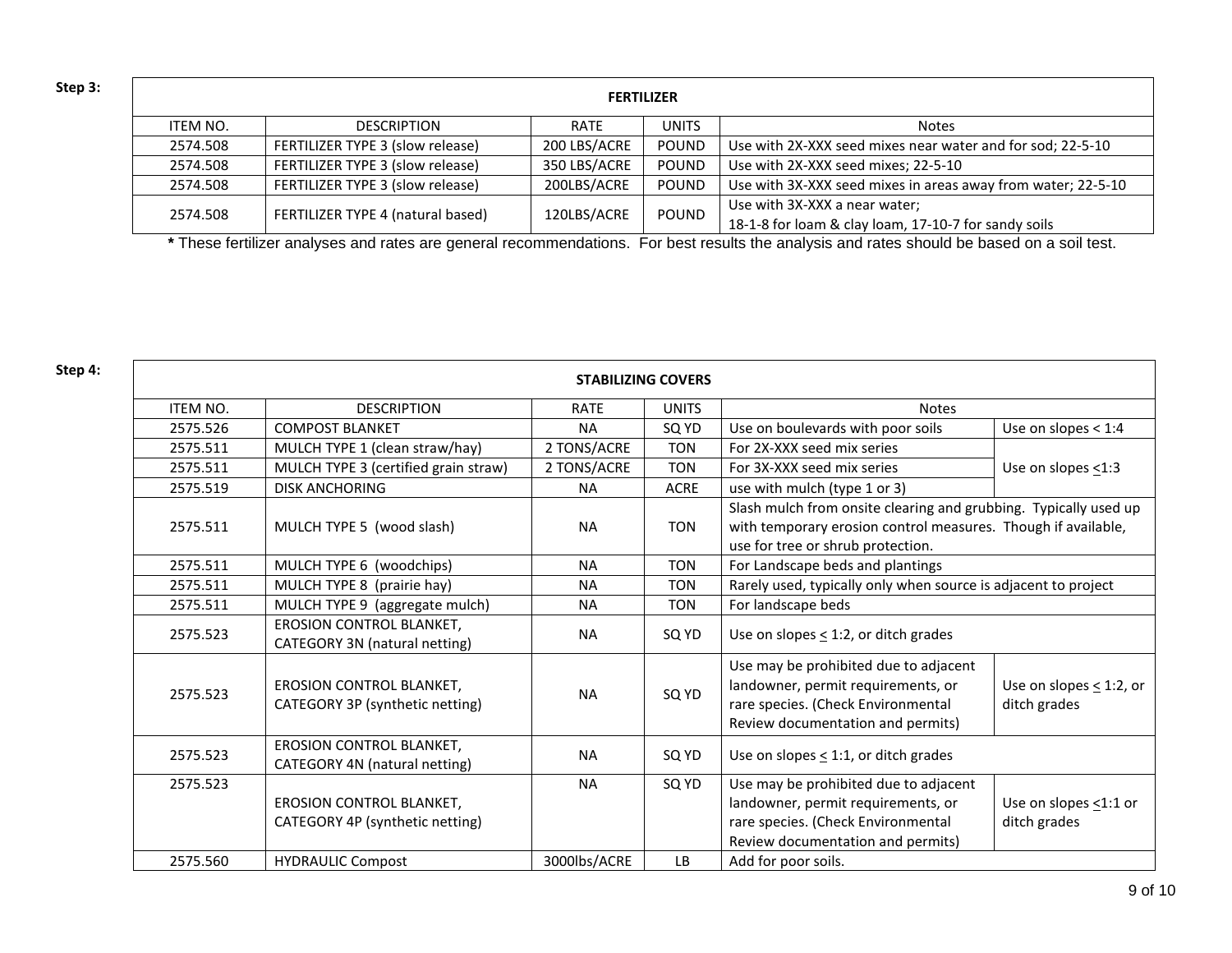| Step 3: |          | <b>FERTILIZER</b>                 |              |              |                                                                                       |  |  |  |  |
|---------|----------|-----------------------------------|--------------|--------------|---------------------------------------------------------------------------------------|--|--|--|--|
|         | ITEM NO. | <b>DESCRIPTION</b>                | RATE         | UNITS        | <b>Notes</b>                                                                          |  |  |  |  |
|         | 2574.508 | FERTILIZER TYPE 3 (slow release)  | 200 LBS/ACRE | POUND        | Use with 2X-XXX seed mixes near water and for sod; 22-5-10                            |  |  |  |  |
|         | 2574.508 | FERTILIZER TYPE 3 (slow release)  | 350 LBS/ACRE | POUND        | Use with 2X-XXX seed mixes; 22-5-10                                                   |  |  |  |  |
|         | 2574.508 | FERTILIZER TYPE 3 (slow release)  | 200LBS/ACRE  | <b>POUND</b> | Use with 3X-XXX seed mixes in areas away from water; 22-5-10                          |  |  |  |  |
|         | 2574.508 | FERTILIZER TYPE 4 (natural based) | 120LBS/ACRE  | <b>POUND</b> | Use with 3X-XXX a near water;<br>18-1-8 for loam & clay loam, 17-10-7 for sandy soils |  |  |  |  |

**\*** These fertilizer analyses and rates are general recommendations. For best results the analysis and rates should be based on a soil test.

| Step 4: |                 |                                                                    | <b>STABILIZING COVERS</b> |              |                                                                                                                                                                        |                                              |
|---------|-----------------|--------------------------------------------------------------------|---------------------------|--------------|------------------------------------------------------------------------------------------------------------------------------------------------------------------------|----------------------------------------------|
|         | <b>ITEM NO.</b> | <b>DESCRIPTION</b>                                                 | <b>RATE</b>               | <b>UNITS</b> | <b>Notes</b>                                                                                                                                                           |                                              |
|         | 2575.526        | <b>COMPOST BLANKET</b>                                             | <b>NA</b>                 | SQ YD        | Use on boulevards with poor soils                                                                                                                                      | Use on slopes $<$ 1:4                        |
|         | 2575.511        | MULCH TYPE 1 (clean straw/hay)                                     | 2 TONS/ACRE               | <b>TON</b>   | For 2X-XXX seed mix series                                                                                                                                             |                                              |
|         | 2575.511        | MULCH TYPE 3 (certified grain straw)                               | 2 TONS/ACRE               | <b>TON</b>   | For 3X-XXX seed mix series                                                                                                                                             | Use on slopes $\leq$ 1:3                     |
|         | 2575.519        | <b>DISK ANCHORING</b>                                              | <b>NA</b>                 | <b>ACRE</b>  | use with mulch (type 1 or 3)                                                                                                                                           |                                              |
|         | 2575.511        | MULCH TYPE 5 (wood slash)                                          | <b>NA</b>                 | <b>TON</b>   | Slash mulch from onsite clearing and grubbing. Typically used up<br>with temporary erosion control measures. Though if available,<br>use for tree or shrub protection. |                                              |
|         | 2575.511        | MULCH TYPE 6 (woodchips)                                           | <b>NA</b>                 | <b>TON</b>   | For Landscape beds and plantings                                                                                                                                       |                                              |
|         | 2575.511        | MULCH TYPE 8 (prairie hay)                                         | <b>NA</b>                 | <b>TON</b>   | Rarely used, typically only when source is adjacent to project                                                                                                         |                                              |
|         | 2575.511        | MULCH TYPE 9 (aggregate mulch)                                     | <b>NA</b>                 | <b>TON</b>   | For landscape beds                                                                                                                                                     |                                              |
|         | 2575.523        | EROSION CONTROL BLANKET,<br>CATEGORY 3N (natural netting)          | <b>NA</b>                 | SQ YD        | Use on slopes $\leq$ 1:2, or ditch grades                                                                                                                              |                                              |
|         | 2575.523        | <b>EROSION CONTROL BLANKET,</b><br>CATEGORY 3P (synthetic netting) | <b>NA</b>                 | SQ YD        | Use may be prohibited due to adjacent<br>landowner, permit requirements, or<br>rare species. (Check Environmental<br>Review documentation and permits)                 | Use on slopes $\leq$ 1:2, or<br>ditch grades |
|         | 2575.523        | EROSION CONTROL BLANKET,<br>CATEGORY 4N (natural netting)          | <b>NA</b>                 | SQ YD        | Use on slopes $\leq$ 1:1, or ditch grades                                                                                                                              |                                              |
|         | 2575.523        |                                                                    | <b>NA</b>                 | SQ YD        | Use may be prohibited due to adjacent                                                                                                                                  |                                              |
|         |                 | EROSION CONTROL BLANKET,                                           |                           |              | landowner, permit requirements, or                                                                                                                                     | Use on slopes <1:1 or                        |
|         |                 | CATEGORY 4P (synthetic netting)                                    |                           |              | rare species. (Check Environmental                                                                                                                                     | ditch grades                                 |
|         |                 |                                                                    |                           |              | Review documentation and permits)                                                                                                                                      |                                              |
|         | 2575.560        | <b>HYDRAULIC Compost</b>                                           | 3000lbs/ACRE              | LB           | Add for poor soils.                                                                                                                                                    |                                              |